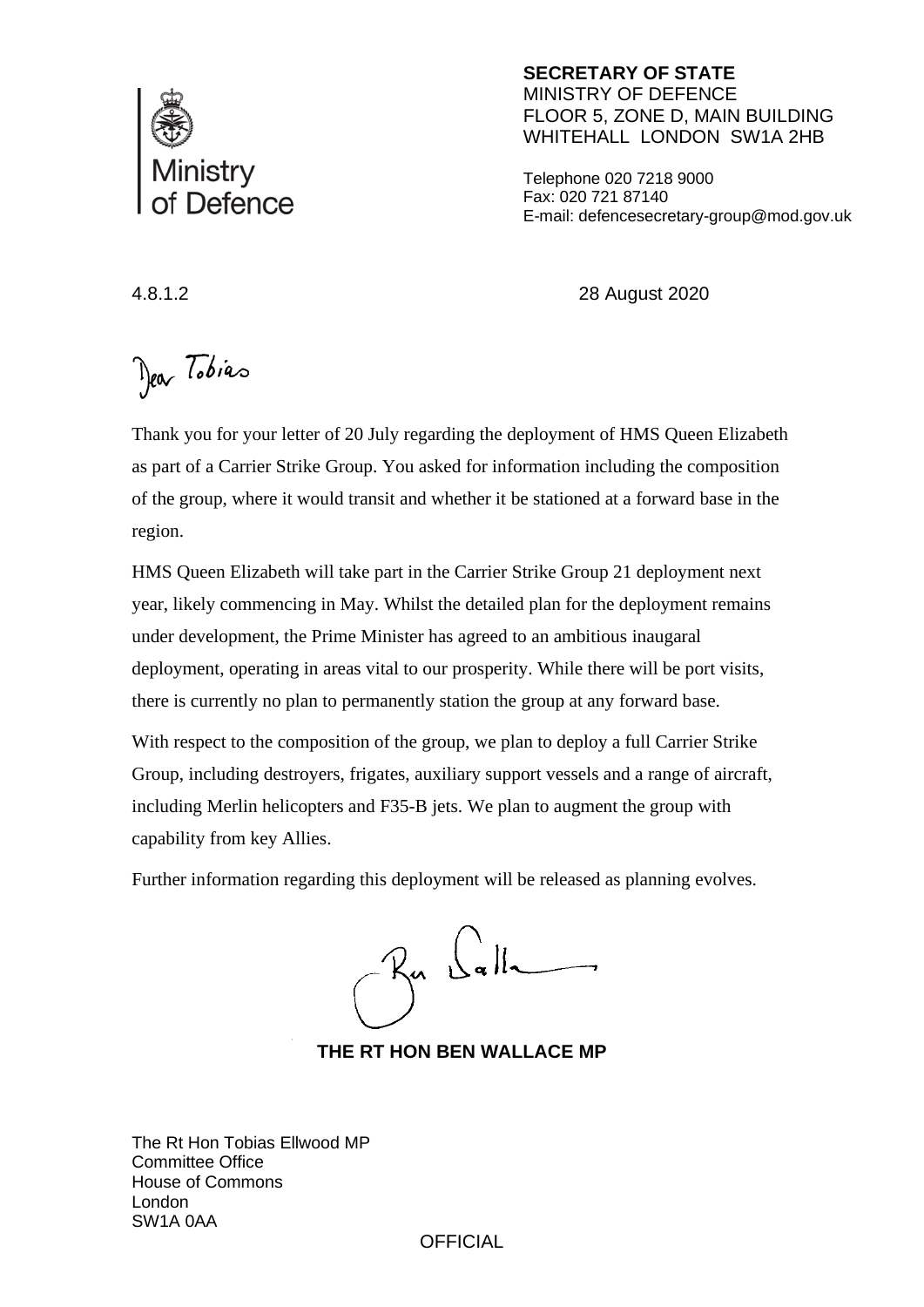

## **SECRETARY OF STATE** MINISTRY OF DEFENCE FLOOR 5, ZONE D, MAIN BUILDING WHITEHALL LONDON SW1A 2HB

Telephone 020 7218 9000 Fax: 020 721 87140 E-mail: defencesecretary-group@mod.gov.uk

4.8.1.2 28 August 2020

Dear Tobias

Thank you for your letter of 20 July regarding the deployment of HMS Queen Elizabeth as part of a Carrier Strike Group. You asked for information including the composition of the group, where it would transit and whether it be stationed at a forward base in the region.

HMS Queen Elizabeth will take part in the Carrier Strike Group 21 deployment next year, likely commencing in May. Whilst the detailed plan for the deployment remains under development, the Prime Minister has agreed to an ambitious inaugaral deployment, operating in areas vital to our prosperity. While there will be port visits, there is currently no plan to permanently station the group at any forward base.

With respect to the composition of the group, we plan to deploy a full Carrier Strike Group, including destroyers, frigates, auxiliary support vessels and a range of aircraft, including Merlin helicopters and F35-B jets. We plan to augment the group with capability from key Allies.

Further information regarding this deployment will be released as planning evolves.

 $R_{n}$   $\int a||.$ 

**THE RT HON BEN WALLACE MP**

The Rt Hon Tobias Ellwood MP Committee Office House of Commons London SW1A 0AA

**OFFICIAL**